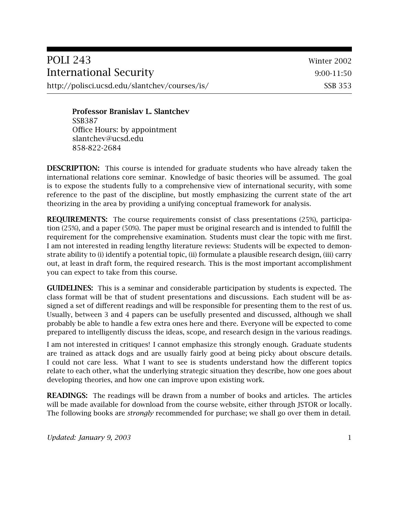| POLI 243                                      | Winter 2002 |
|-----------------------------------------------|-------------|
| International Security                        | 9:00-11:50  |
| http://polisci.ucsd.edu/slantchev/courses/is/ | SSB 353     |

**Professor Branislav L. Slantchev** SSB387 Office Hours: by appointment slantchev@ucsd.edu 858-822-2684

**DESCRIPTION:** This course is intended for graduate students who have already taken the international relations core seminar. Knowledge of basic theories will be assumed. The goal is to expose the students fully to a comprehensive view of international security, with some reference to the past of the discipline, but mostly emphasizing the current state of the art theorizing in the area by providing a unifying conceptual framework for analysis.

**REQUIREMENTS:** The course requirements consist of class presentations (25%), participation (25%), and a paper (50%). The paper must be original research and is intended to fulfill the requirement for the comprehensive examination. Students must clear the topic with me first. I am not interested in reading lengthy literature reviews: Students will be expected to demonstrate ability to (i) identify a potential topic, (ii) formulate a plausible research design, (iii) carry out, at least in draft form, the required research. This is the most important accomplishment you can expect to take from this course.

**GUIDELINES:** This is a seminar and considerable participation by students is expected. The class format will be that of student presentations and discussions. Each student will be assigned a set of different readings and will be responsible for presenting them to the rest of us. Usually, between 3 and 4 papers can be usefully presented and discussed, although we shall probably be able to handle a few extra ones here and there. Everyone will be expected to come prepared to intelligently discuss the ideas, scope, and research design in the various readings.

I am not interested in critiques! I cannot emphasize this strongly enough. Graduate students are trained as attack dogs and are usually fairly good at being picky about obscure details. I could not care less. What I want to see is students understand how the different topics relate to each other, what the underlying strategic situation they describe, how one goes about developing theories, and how one can improve upon existing work.

**READINGS:** The readings will be drawn from a number of books and articles. The articles will be made available for download from the course website, either through JSTOR or locally. The following books are *strongly* recommended for purchase; we shall go over them in detail.

*Updated: January 9, 2003* 1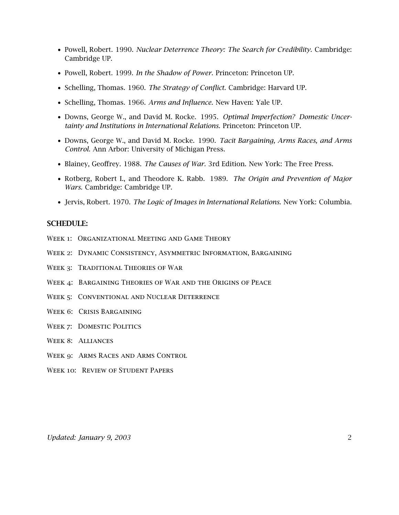- *•* Powell, Robert. 1990. *Nuclear Deterrence Theory: The Search for Credibility.* Cambridge: Cambridge UP.
- *•* Powell, Robert. 1999. *In the Shadow of Power.* Princeton: Princeton UP.
- *•* Schelling, Thomas. 1960. *The Strategy of Conflict.* Cambridge: Harvard UP.
- *•* Schelling, Thomas. 1966. *Arms and Influence.* New Haven: Yale UP.
- *•* Downs, George W., and David M. Rocke. 1995. *Optimal Imperfection? Domestic Uncertainty and Institutions in International Relations.* Princeton: Princeton UP.
- *•* Downs, George W., and David M. Rocke. 1990. *Tacit Bargaining, Arms Races, and Arms Control.* Ann Arbor: University of Michigan Press.
- *•* Blainey, Geoffrey. 1988. *The Causes of War.* 3rd Edition. New York: The Free Press.
- *•* Rotberg, Robert I., and Theodore K. Rabb. 1989. *The Origin and Prevention of Major Wars.* Cambridge: Cambridge UP.
- *•* Jervis, Robert. 1970. *The Logic of Images in International Relations.* New York: Columbia.

#### **SCHEDULE:**

- WEEK 1: ORGANIZATIONAL MEETING AND GAME THEORY
- Week 2: Dynamic Consistency, Asymmetric Information, Bargaining
- Week 3: Traditional Theories of War
- Week 4: Bargaining Theories of War and the Origins of Peace
- WEEK 5: CONVENTIONAL AND NUCLEAR DETERRENCE
- Week 6: Crisis Bargaining
- WEEK 7: DOMESTIC POLITICS
- Week 8: Alliances
- Week 9: Arms Races and Arms Control
- WEEK 10: REVIEW OF STUDENT PAPERS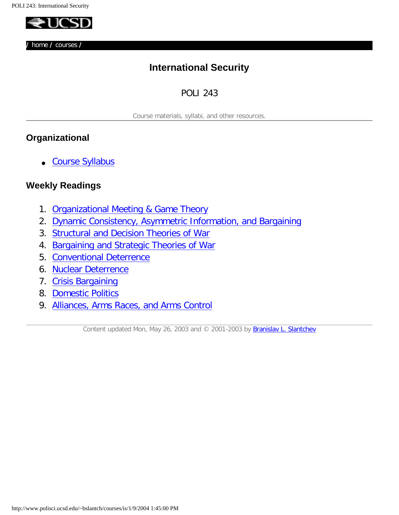<span id="page-2-0"></span>

**/** [home](http://www.polisci.ucsd.edu/~bslantch/) **/** [courses](http://www.polisci.ucsd.edu/~bslantch/courses) **/**

# **International Security**

### POLI 243

Course materials, syllabi, and other resources.

### **Organizational**

● [Course Syllabus](http://www.polisci.ucsd.edu/~bslantch/courses/is/syllabus.pdf)

### **Weekly Readings**

- 1. [Organizational Meeting & Game Theory](#page-3-0)
- 2. [Dynamic Consistency, Asymmetric Information, and Bargaining](#page-4-0)
- 3. [Structural and Decision Theories of War](#page-6-0)
- 4. [Bargaining and Strategic Theories of War](#page-8-0)
- 5. [Conventional Deterrence](#page-10-0)
- 6. [Nuclear Deterrence](#page-12-0)
- 7. [Crisis Bargaining](#page-14-0)
- 8. [Domestic Politics](#page-16-0)
- 9. [Alliances, Arms Races, and Arms Control](#page-18-0)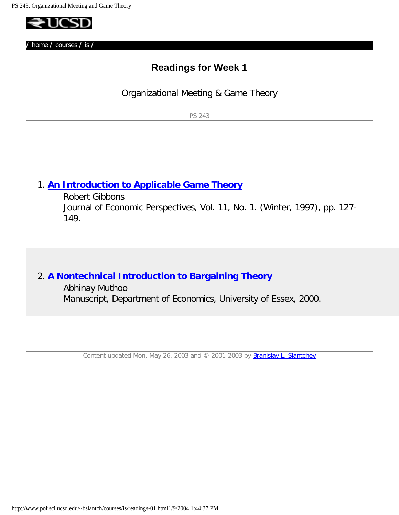<span id="page-3-0"></span>

# **Readings for Week 1**

Organizational Meeting & Game Theory

PS 243

### 1. **[An Introduction to Applicable Game Theory](http://links.jstor.org/sici?sici=08953309%28199720%2911%3A1%3C127%3AAITAGT%3E2.0.CO%3B2-P)**

Robert Gibbons Journal of Economic Perspectives, Vol. 11, No. 1. (Winter, 1997), pp. 127- 149.

### 2. **[A Nontechnical Introduction to Bargaining Theory](http://privatewww.essex.ac.uk/%7Emuthoo/simpbarg.pdf)**

Abhinay Muthoo Manuscript, Department of Economics, University of Essex, 2000.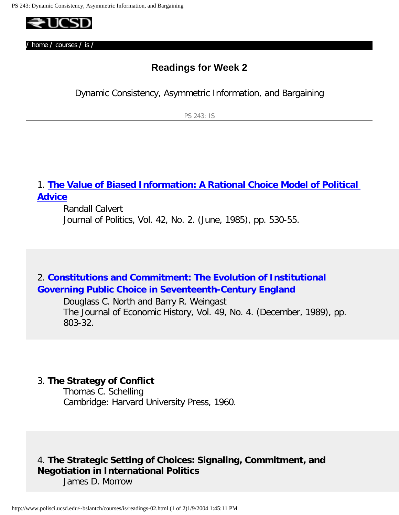<span id="page-4-0"></span>

# **Readings for Week 2**

Dynamic Consistency, Asymmetric Information, and Bargaining

PS 243: IS

### 1. **[The Value of Biased Information: A Rational Choice Model of Political](http://links.jstor.org/sici?sici=0022-3816%28198506%2947%3A2%3C530%3ATVOBIA%3E2.0.CO%3B2-Y)  [Advice](http://links.jstor.org/sici?sici=0022-3816%28198506%2947%3A2%3C530%3ATVOBIA%3E2.0.CO%3B2-Y)**

Randall Calvert Journal of Politics, Vol. 42, No. 2. (June, 1985), pp. 530-55.

## 2. **[Constitutions and Commitment: The Evolution of Institutional](http://links.jstor.org/sici?sici=0022-0507%28198912%2949%3A4%3C803%3ACACTEO%3E2.0.CO%3B2-9) [Governing Public Choice in Seventeenth-Century England](http://links.jstor.org/sici?sici=0022-0507%28198912%2949%3A4%3C803%3ACACTEO%3E2.0.CO%3B2-9)**

Douglass C. North and Barry R. Weingast The Journal of Economic History, Vol. 49, No. 4. (December, 1989), pp. 803-32.

#### 3. **The Strategy of Conflict**

Thomas C. Schelling Cambridge: Harvard University Press, 1960.

# 4. **The Strategic Setting of Choices: Signaling, Commitment, and Negotiation in International Politics**

James D. Morrow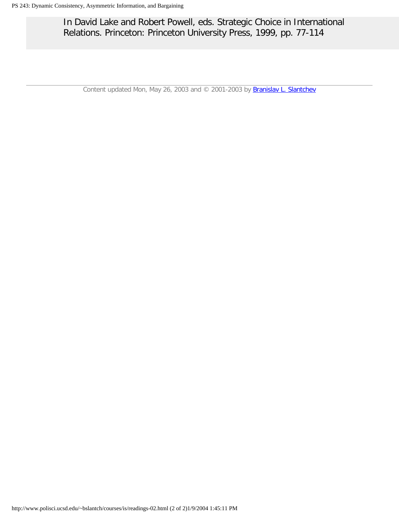In David Lake and Robert Powell, eds. Strategic Choice in International Relations. Princeton: Princeton University Press, 1999, pp. 77-114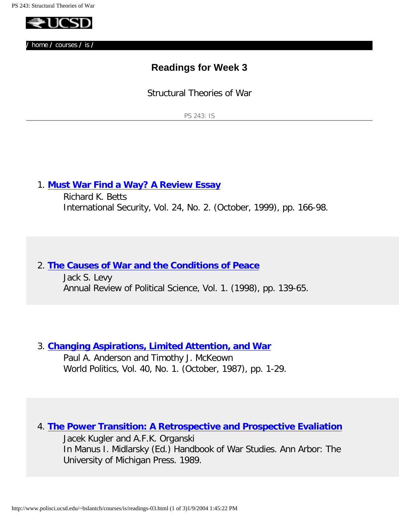<span id="page-6-0"></span>

# **Readings for Week 3**

Structural Theories of War

PS 243: IS

### 1. **[Must War Find a Way? A Review Essay](http://openurl.ingenta.com/content?genre=article&issn=0162-2889&volume=24&issue=2&spage=166)**

Richard K. Betts International Security, Vol. 24, No. 2. (October, 1999), pp. 166-98.

#### 2. **[The Causes of War and the Conditions of Peace](http://polisci.annualreviews.org/cgi/reprint/1/1/139.pdf)**

Jack S. Levy Annual Review of Political Science, Vol. 1. (1998), pp. 139-65.

#### 3. **[Changing Aspirations, Limited Attention, and War](http://links.jstor.org/sici?sici=0043-8871%28198710%2940%3A1%3C1%3ACALAAW%3E2.0.CO%3B2-O)**

Paul A. Anderson and Timothy J. McKeown World Politics, Vol. 40, No. 1. (October, 1987), pp. 1-29.

### 4. **[The Power Transition: A Retrospective and Prospective Evaliation](http://www.polisci.ucsd.edu/~bslantch/courses/archive/kugler-organski-power-transition.pdf)**

Jacek Kugler and A.F.K. Organski In Manus I. Midlarsky (Ed.) Handbook of War Studies. Ann Arbor: The University of Michigan Press. 1989.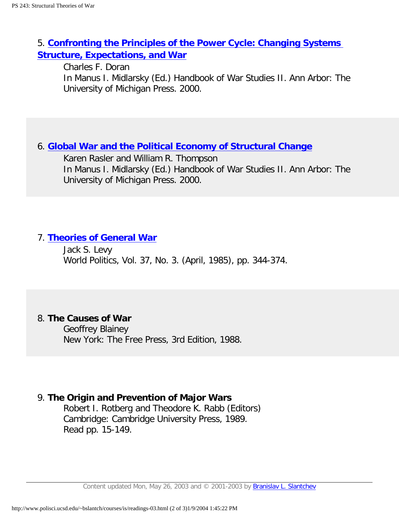## 5. **[Confronting the Principles of the Power Cycle: Changing Systems](http://www.polisci.ucsd.edu/~bslantch/courses/archive/doran-power-cycle.pdf)  [Structure, Expectations, and War](http://www.polisci.ucsd.edu/~bslantch/courses/archive/doran-power-cycle.pdf)**

Charles F. Doran In Manus I. Midlarsky (Ed.) Handbook of War Studies II. Ann Arbor: The University of Michigan Press. 2000.

### 6. **[Global War and the Political Economy of Structural Change](http://www.polisci.ucsd.edu/~bslantch/courses/archive/rasler-thompson-global-war.pdf)**

Karen Rasler and William R. Thompson In Manus I. Midlarsky (Ed.) Handbook of War Studies II. Ann Arbor: The University of Michigan Press. 2000.

#### 7. **[Theories of General War](http://links.jstor.org/sici?sici=0043-8871%28198504%2937%3A3%3C344%3ATOGW%3E2.0.CO%3B2-I)**

Jack S. Levy World Politics, Vol. 37, No. 3. (April, 1985), pp. 344-374.

#### 8. **The Causes of War**

Geoffrey Blainey New York: The Free Press, 3rd Edition, 1988.

#### 9. **The Origin and Prevention of Major Wars**

Robert I. Rotberg and Theodore K. Rabb (Editors) Cambridge: Cambridge University Press, 1989. Read pp. 15-149.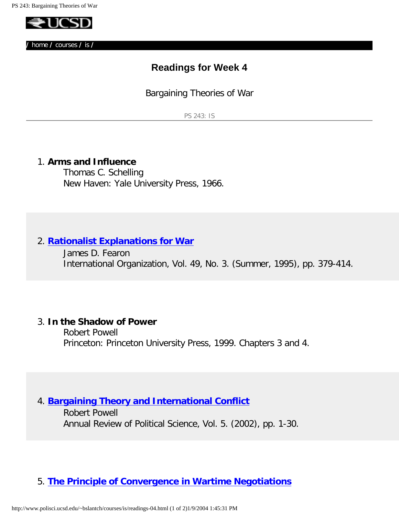<span id="page-8-0"></span>

## **Readings for Week 4**

Bargaining Theories of War

PS 243: IS

#### 1. **Arms and Influence**

Thomas C. Schelling New Haven: Yale University Press, 1966.

### 2. **[Rationalist Explanations for War](http://links.jstor.org/sici?sici=0020-8183%28199522%2949%3A3%3C379%3AREFW%3E2.0.CO%3B2-B)**

James D. Fearon International Organization, Vol. 49, No. 3. (Summer, 1995), pp. 379-414.

#### 3. **In the Shadow of Power**

Robert Powell Princeton: Princeton University Press, 1999. Chapters 3 and 4.

### 4. **[Bargaining Theory and International Conflict](http://polisci.annualreviews.org/cgi/reprint/5/1/1.pdf)**

Robert Powell Annual Review of Political Science, Vol. 5. (2002), pp. 1-30.

### 5. **[The Principle of Convergence in Wartime Negotiations](http://www.polisci.ucsd.edu/~bslantch/papers/pdf/slantchev-apsa2002.pdf)**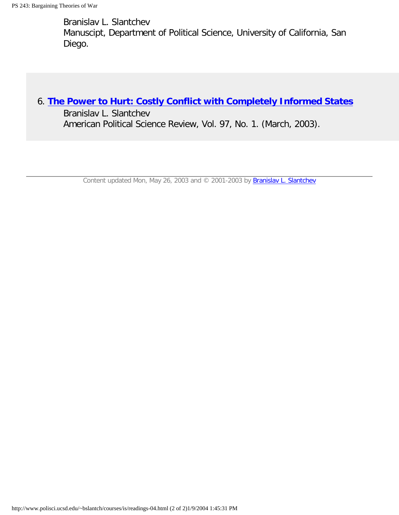Branislav L. Slantchev Manuscipt, Department of Political Science, University of California, San Diego.

### 6. **[The Power to Hurt: Costly Conflict with Completely Informed States](http://www.polisci.ucsd.edu/~bslantch/courses/archive/slantchev-power-to-hurt.pdf)**

Branislav L. Slantchev American Political Science Review, Vol. 97, No. 1. (March, 2003).

Content updated Mon, May 26, 2003 and © 2001-2003 by [Branislav L. Slantchev](http://www.polisci.ucsd.edu/slantchev/contact.html)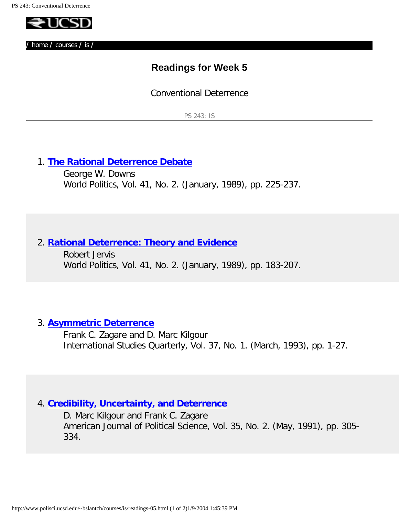<span id="page-10-0"></span>

# **Readings for Week 5**

Conventional Deterrence

PS 243: IS

### 1. **[The Rational Deterrence Debate](http://links.jstor.org/sici?sici=0043-8871%28198901%2941%3A2%3C225%3ATRDD%3E2.0.CO%3B2-2)**

George W. Downs World Politics, Vol. 41, No. 2. (January, 1989), pp. 225-237.

#### 2. **[Rational Deterrence: Theory and Evidence](http://links.jstor.org/sici?sici=0043-8871%28198901%2941%3A2%3C183%3ARDTAE%3E2.0.CO%3B2-Q)**

Robert Jervis World Politics, Vol. 41, No. 2. (January, 1989), pp. 183-207.

#### 3. **[Asymmetric Deterrence](http://links.jstor.org/sici?sici=0020-8833%28199303%2937%3A1%3C1%3AAD%3E2.0.CO%3B2-9)**

Frank C. Zagare and D. Marc Kilgour International Studies Quarterly, Vol. 37, No. 1. (March, 1993), pp. 1-27.

#### 4. **[Credibility, Uncertainty, and Deterrence](http://links.jstor.org/sici?sici=0092-5853%28199105%2935%3A2%3C305%3ACUAD%3E2.0.CO%3B2-2)**

D. Marc Kilgour and Frank C. Zagare American Journal of Political Science, Vol. 35, No. 2. (May, 1991), pp. 305- 334.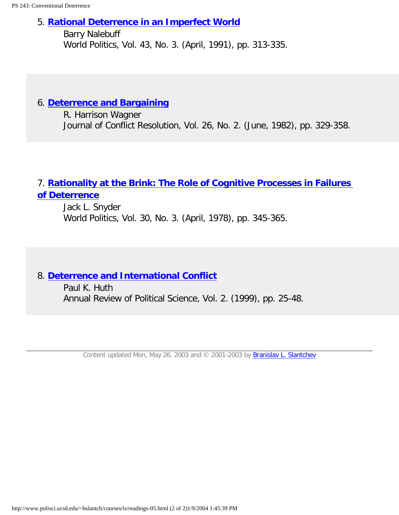#### 5. **[Rational Deterrence in an Imperfect World](http://links.jstor.org/sici?sici=0043-8871%28199104%2943%3A3%3C313%3ARDIAIW%3E2.0.CO%3B2-P)**

Barry Nalebuff World Politics, Vol. 43, No. 3. (April, 1991), pp. 313-335.

### 6. **[Deterrence and Bargaining](http://links.jstor.org/sici?sici=0022-0027%28198206%2926%3A2%3C329%3ADAB%3E2.0.CO%3B2-Q)**

R. Harrison Wagner Journal of Conflict Resolution, Vol. 26, No. 2. (June, 1982), pp. 329-358.

# 7. **[Rationality at the Brink: The Role of Cognitive Processes in Failures](http://links.jstor.org/sici?sici=0043-8871%28197804%2930%3A3%3C345%3ARATBTR%3E2.0.CO%3B2-0) [of Deterrence](http://links.jstor.org/sici?sici=0043-8871%28197804%2930%3A3%3C345%3ARATBTR%3E2.0.CO%3B2-0)**

Jack L. Snyder World Politics, Vol. 30, No. 3. (April, 1978), pp. 345-365.

## 8. **[Deterrence and International Conflict](http://polisci.annualreviews.org/cgi/reprint/2/1/25.pdf)**

Paul K. Huth Annual Review of Political Science, Vol. 2. (1999), pp. 25-48.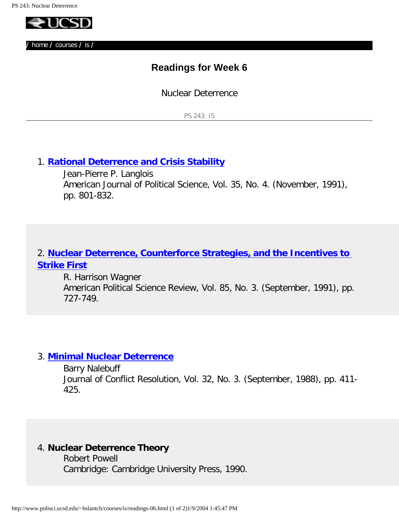<span id="page-12-0"></span>

# **Readings for Week 6**

Nuclear Deterrence

PS 243: IS

### 1. **[Rational Deterrence and Crisis Stability](http://links.jstor.org/sici?sici=0092-5853%28199111%2935%3A4%3C801%3ARDACS%3E2.0.CO%3B2-2)**

Jean-Pierre P. Langlois American Journal of Political Science, Vol. 35, No. 4. (November, 1991), pp. 801-832.

### 2. **[Nuclear Deterrence, Counterforce Strategies, and the Incentives to](http://links.jstor.org/sici?sici=0003-0554%28199109%2985%3A3%3C727%3ANDCSAT%3E2.0.CO%3B2-T) [Strike First](http://links.jstor.org/sici?sici=0003-0554%28199109%2985%3A3%3C727%3ANDCSAT%3E2.0.CO%3B2-T)**

R. Harrison Wagner American Political Science Review, Vol. 85, No. 3. (September, 1991), pp. 727-749.

#### 3. **[Minimal Nuclear Deterrence](http://links.jstor.org/sici?sici=0022-0027%28198809%2932%3A3%3C411%3AMND%3E2.0.CO%3B2-1)**

Barry Nalebuff Journal of Conflict Resolution, Vol. 32, No. 3. (September, 1988), pp. 411- 425.

#### 4. **Nuclear Deterrence Theory**

Robert Powell Cambridge: Cambridge University Press, 1990.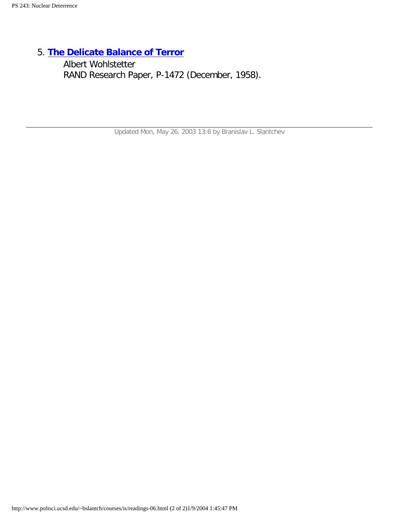5. **[The Delicate Balance of Terror](http://www.rand.org/publications/classics/wohlstetter/P1472/P1472.html)**

Albert Wohlstetter RAND Research Paper, P-1472 (December, 1958).

Updated Mon, May 26, 2003 13:6 by Branislav L. Slantchev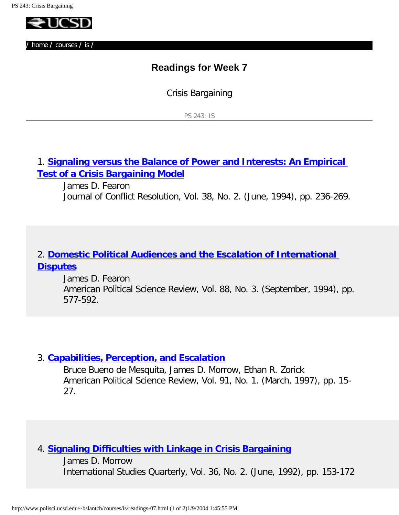<span id="page-14-0"></span>

# **Readings for Week 7**

Crisis Bargaining

PS 243: IS

1. **[Signaling versus the Balance of Power and Interests: An Empirical](http://links.jstor.org/sici?sici=0022-0027%28199406%2938%3A2%3C236%3ASVTBOP%3E2.0.CO%3B2-U)  [Test of a Crisis Bargaining Model](http://links.jstor.org/sici?sici=0022-0027%28199406%2938%3A2%3C236%3ASVTBOP%3E2.0.CO%3B2-U)**

James D. Fearon Journal of Conflict Resolution, Vol. 38, No. 2. (June, 1994), pp. 236-269.

## 2. **[Domestic Political Audiences and the Escalation of International](http://links.jstor.org/sici?sici=0003-0554%28199409%2988%3A3%3C577%3ADPAATE%3E2.0.CO%3B2-N) [Disputes](http://links.jstor.org/sici?sici=0003-0554%28199409%2988%3A3%3C577%3ADPAATE%3E2.0.CO%3B2-N)**

James D. Fearon American Political Science Review, Vol. 88, No. 3. (September, 1994), pp. 577-592.

#### 3. **[Capabilities, Perception, and Escalation](http://links.jstor.org/sici?sici=0003-0554%28199703%2991%3A1%3C15%3ACPAE%3E2.0.CO%3B2-3)**

Bruce Bueno de Mesquita, James D. Morrow, Ethan R. Zorick American Political Science Review, Vol. 91, No. 1. (March, 1997), pp. 15- 27.

#### 4. **[Signaling Difficulties with Linkage in Crisis Bargaining](http://links.jstor.org/sici?sici=0020-8833%28199206%2936%3A2%3C153%3ASDWLIC%3E2.0.CO%3B2-3)**

James D. Morrow International Studies Quarterly, Vol. 36, No. 2. (June, 1992), pp. 153-172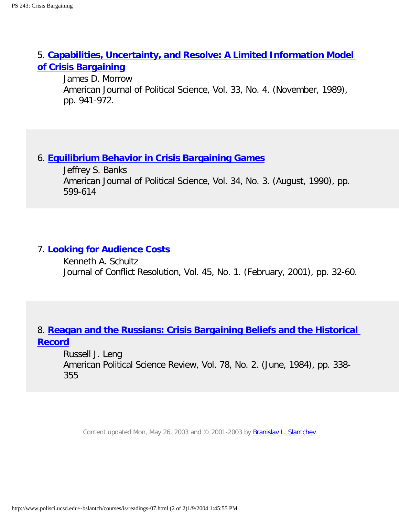## 5. **[Capabilities, Uncertainty, and Resolve: A Limited Information Model](http://links.jstor.org/sici?sici=0092-5853%28198911%2933%3A4%3C941%3ACUARAL%3E2.0.CO%3B2-9)  [of Crisis Bargaining](http://links.jstor.org/sici?sici=0092-5853%28198911%2933%3A4%3C941%3ACUARAL%3E2.0.CO%3B2-9)**

James D. Morrow American Journal of Political Science, Vol. 33, No. 4. (November, 1989), pp. 941-972.

### 6. **[Equilibrium Behavior in Crisis Bargaining Games](http://links.jstor.org/sici?sici=0092-5853%28199008%2934%3A3%3C599%3AEBICBG%3E2.0.CO%3B2-S)**

Jeffrey S. Banks American Journal of Political Science, Vol. 34, No. 3. (August, 1990), pp. 599-614

### 7. **[Looking for Audience Costs](http://openurl.ingenta.com/content?genre=article&issn=0022-0027&volume=45&issue=1&spage=32)**

Kenneth A. Schultz Journal of Conflict Resolution, Vol. 45, No. 1. (February, 2001), pp. 32-60.

## 8. **[Reagan and the Russians: Crisis Bargaining Beliefs and the Historical](http://links.jstor.org/sici?sici=0003-0554%28198406%2978%3A2%3C338%3ARATRCB%3E2.0.CO%3B2-0) [Record](http://links.jstor.org/sici?sici=0003-0554%28198406%2978%3A2%3C338%3ARATRCB%3E2.0.CO%3B2-0)**

Russell J. Leng American Political Science Review, Vol. 78, No. 2. (June, 1984), pp. 338- 355

Content updated Mon, May 26, 2003 and © 2001-2003 by [Branislav L. Slantchev](http://www.polisci.ucsd.edu/slantchev/contact.html)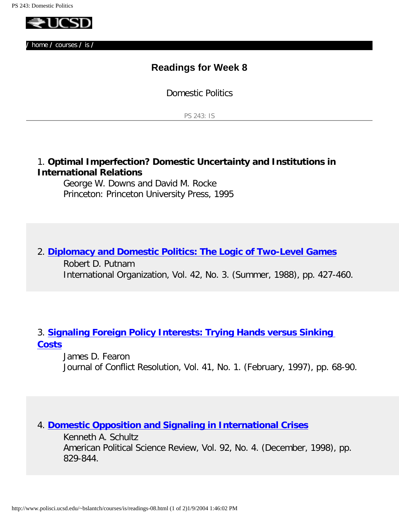<span id="page-16-0"></span>

# **Readings for Week 8**

Domestic Politics

PS 243: IS

### 1. **Optimal Imperfection? Domestic Uncertainty and Institutions in International Relations**

George W. Downs and David M. Rocke Princeton: Princeton University Press, 1995

# 2. **[Diplomacy and Domestic Politics: The Logic of Two-Level Games](http://links.jstor.org/sici?sici=0020-8183%28198822%2942%3A3%3C427%3ADADPTL%3E2.0.CO%3B2-K)** Robert D. Putnam International Organization, Vol. 42, No. 3. (Summer, 1988), pp. 427-460.

# 3. **[Signaling Foreign Policy Interests: Trying Hands versus Sinking](http://links.jstor.org/sici?sici=0022-0027%28199702%2941%3A1%3C68%3ASFPITH%3E2.0.CO%3B2-D)  [Costs](http://links.jstor.org/sici?sici=0022-0027%28199702%2941%3A1%3C68%3ASFPITH%3E2.0.CO%3B2-D)**

James D. Fearon Journal of Conflict Resolution, Vol. 41, No. 1. (February, 1997), pp. 68-90.

#### 4. **[Domestic Opposition and Signaling in International Crises](http://links.jstor.org/sici?sici=0003-0554%28199812%2992%3A4%3C829%3ADOASII%3E2.0.CO%3B2-S)**

Kenneth A. Schultz American Political Science Review, Vol. 92, No. 4. (December, 1998), pp. 829-844.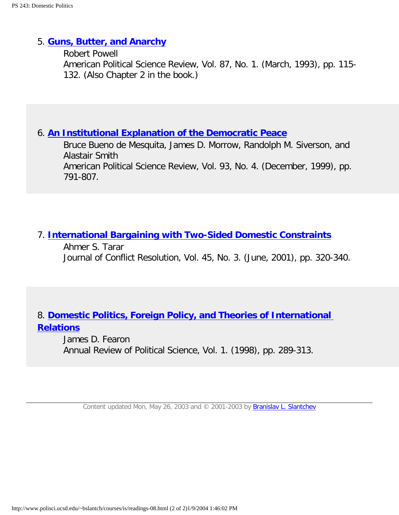#### 5. **[Guns, Butter, and Anarchy](http://links.jstor.org/sici?sici=0003-0554%28199303%2987%3A1%3C115%3AGBAA%3E2.0.CO%3B2-X)**

Robert Powell American Political Science Review, Vol. 87, No. 1. (March, 1993), pp. 115- 132. (Also Chapter 2 in the book.)

### 6. **[An Institutional Explanation of the Democratic Peace](http://links.jstor.org/sici?sici=0003-0554%28199912%2993%3A4%3C791%3AAIEOTD%3E2.0.CO%3B2-8)**

Bruce Bueno de Mesquita, James D. Morrow, Randolph M. Siverson, and Alastair Smith American Political Science Review, Vol. 93, No. 4. (December, 1999), pp. 791-807.

### 7. **[International Bargaining with Two-Sided Domestic Constraints](http://openurl.ingenta.com/content?genre=article&issn=0022-0027&volume=45&issue=3&spage=320)**

Ahmer S. Tarar Journal of Conflict Resolution, Vol. 45, No. 3. (June, 2001), pp. 320-340.

# 8. **[Domestic Politics, Foreign Policy, and Theories of International](http://polisci.annualreviews.org/cgi/reprint/1/1/289.pdf) [Relations](http://polisci.annualreviews.org/cgi/reprint/1/1/289.pdf)**

James D. Fearon Annual Review of Political Science, Vol. 1. (1998), pp. 289-313.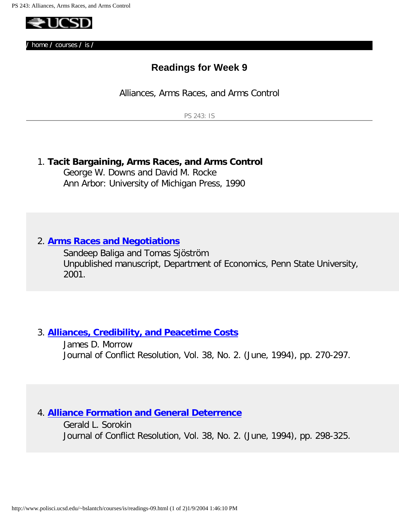<span id="page-18-0"></span>

# **Readings for Week 9**

Alliances, Arms Races, and Arms Control

PS 243: IS

### 1. **Tacit Bargaining, Arms Races, and Arms Control**

George W. Downs and David M. Rocke Ann Arbor: University of Michigan Press, 1990

#### 2. **[Arms Races and Negotiations](http://econ.la.psu.edu/Research/wpapers/jts(3-01-2).pdf)**

Sandeep Baliga and Tomas Sjöström Unpublished manuscript, Department of Economics, Penn State University, 2001.

#### 3. **[Alliances, Credibility, and Peacetime Costs](http://links.jstor.org/sici?sici=0022-0027%28199406%2938%3A2%3C270%3AACAPC%3E2.0.CO%3B2-P)**

James D. Morrow Journal of Conflict Resolution, Vol. 38, No. 2. (June, 1994), pp. 270-297.

### 4. **[Alliance Formation and General Deterrence](http://links.jstor.org/sici?sici=0022-0027%28199406%2938%3A2%3C298%3AAFAGDA%3E2.0.CO%3B2-P)**

Gerald L. Sorokin Journal of Conflict Resolution, Vol. 38, No. 2. (June, 1994), pp. 298-325.